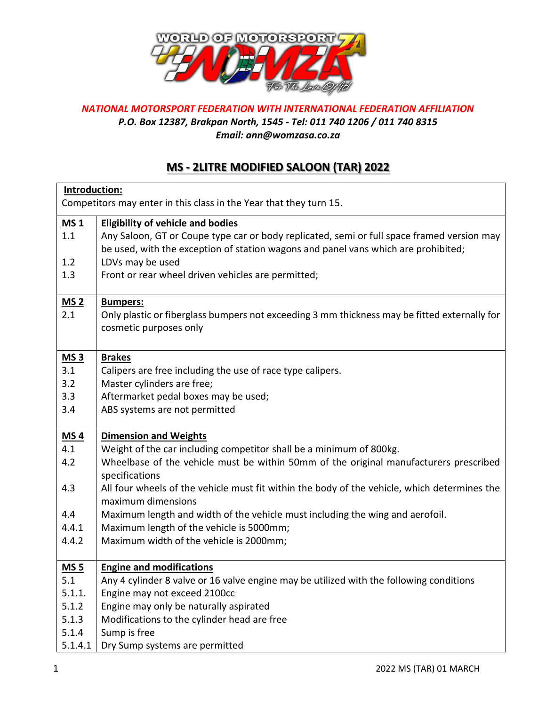

## *NATIONAL MOTORSPORT FEDERATION WITH INTERNATIONAL FEDERATION AFFILIATION P.O. Box 12387, Brakpan North, 1545 - Tel: 011 740 1206 / 011 740 8315 Email: ann@womzasa.co.za*

## **MS - 2LITRE MODIFIED SALOON (TAR) 2022**

| Introduction:<br>Competitors may enter in this class in the Year that they turn 15. |                                                                                              |  |
|-------------------------------------------------------------------------------------|----------------------------------------------------------------------------------------------|--|
| MS <sub>1</sub>                                                                     | <b>Eligibility of vehicle and bodies</b>                                                     |  |
| 1.1                                                                                 | Any Saloon, GT or Coupe type car or body replicated, semi or full space framed version may   |  |
|                                                                                     | be used, with the exception of station wagons and panel vans which are prohibited;           |  |
| 1.2                                                                                 | LDVs may be used                                                                             |  |
| 1.3                                                                                 | Front or rear wheel driven vehicles are permitted;                                           |  |
|                                                                                     |                                                                                              |  |
| MS <sub>2</sub>                                                                     | <b>Bumpers:</b>                                                                              |  |
| 2.1                                                                                 | Only plastic or fiberglass bumpers not exceeding 3 mm thickness may be fitted externally for |  |
|                                                                                     | cosmetic purposes only                                                                       |  |
|                                                                                     |                                                                                              |  |
| MS <sub>3</sub>                                                                     | <b>Brakes</b>                                                                                |  |
| 3.1                                                                                 | Calipers are free including the use of race type calipers.                                   |  |
| 3.2                                                                                 | Master cylinders are free;                                                                   |  |
| 3.3                                                                                 | Aftermarket pedal boxes may be used;                                                         |  |
| 3.4                                                                                 | ABS systems are not permitted                                                                |  |
|                                                                                     |                                                                                              |  |
| MS <sub>4</sub>                                                                     | <b>Dimension and Weights</b>                                                                 |  |
| 4.1                                                                                 | Weight of the car including competitor shall be a minimum of 800kg.                          |  |
| 4.2                                                                                 | Wheelbase of the vehicle must be within 50mm of the original manufacturers prescribed        |  |
|                                                                                     | specifications                                                                               |  |
| 4.3                                                                                 | All four wheels of the vehicle must fit within the body of the vehicle, which determines the |  |
|                                                                                     | maximum dimensions                                                                           |  |
| 4.4                                                                                 | Maximum length and width of the vehicle must including the wing and aerofoil.                |  |
| 4.4.1                                                                               | Maximum length of the vehicle is 5000mm;                                                     |  |
| 4.4.2                                                                               | Maximum width of the vehicle is 2000mm;                                                      |  |
|                                                                                     |                                                                                              |  |
| <b>MS 5</b>                                                                         | <b>Engine and modifications</b>                                                              |  |
| 5.1                                                                                 | Any 4 cylinder 8 valve or 16 valve engine may be utilized with the following conditions      |  |
| 5.1.1.                                                                              | Engine may not exceed 2100cc                                                                 |  |
| 5.1.2                                                                               | Engine may only be naturally aspirated                                                       |  |
| 5.1.3                                                                               | Modifications to the cylinder head are free                                                  |  |
| 5.1.4                                                                               | Sump is free                                                                                 |  |
| 5.1.4.1                                                                             | Dry Sump systems are permitted                                                               |  |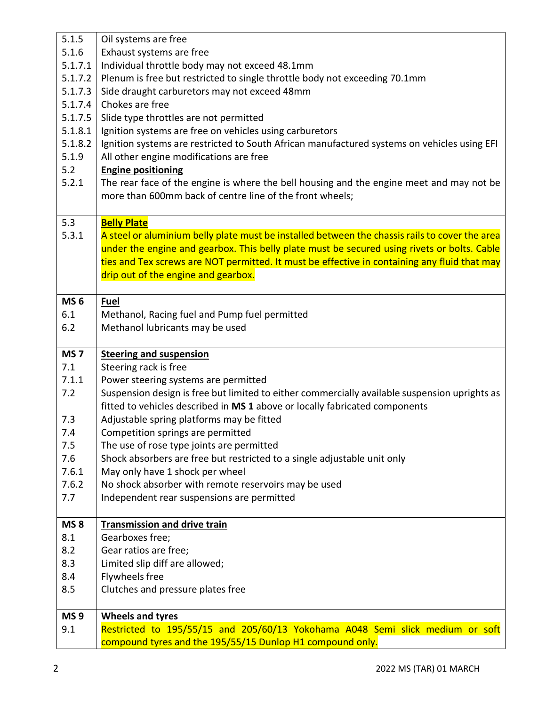| 5.1.5           | Oil systems are free                                                                           |
|-----------------|------------------------------------------------------------------------------------------------|
| 5.1.6           | Exhaust systems are free                                                                       |
| 5.1.7.1         | Individual throttle body may not exceed 48.1mm                                                 |
| 5.1.7.2         | Plenum is free but restricted to single throttle body not exceeding 70.1mm                     |
| 5.1.7.3         | Side draught carburetors may not exceed 48mm                                                   |
| 5.1.7.4         | Chokes are free                                                                                |
| 5.1.7.5         | Slide type throttles are not permitted                                                         |
| 5.1.8.1         | Ignition systems are free on vehicles using carburetors                                        |
| 5.1.8.2         | Ignition systems are restricted to South African manufactured systems on vehicles using EFI    |
| 5.1.9           | All other engine modifications are free                                                        |
| 5.2             | <b>Engine positioning</b>                                                                      |
| 5.2.1           | The rear face of the engine is where the bell housing and the engine meet and may not be       |
|                 |                                                                                                |
|                 | more than 600mm back of centre line of the front wheels;                                       |
|                 |                                                                                                |
| 5.3             | <b>Belly Plate</b>                                                                             |
| 5.3.1           | A steel or aluminium belly plate must be installed between the chassis rails to cover the area |
|                 | under the engine and gearbox. This belly plate must be secured using rivets or bolts. Cable    |
|                 | ties and Tex screws are NOT permitted. It must be effective in containing any fluid that may   |
|                 | drip out of the engine and gearbox.                                                            |
|                 |                                                                                                |
| <b>MS 6</b>     | Fuel                                                                                           |
| 6.1             | Methanol, Racing fuel and Pump fuel permitted                                                  |
| 6.2             | Methanol lubricants may be used                                                                |
|                 |                                                                                                |
|                 |                                                                                                |
| MS <sub>7</sub> | <b>Steering and suspension</b>                                                                 |
| 7.1             | Steering rack is free                                                                          |
| 7.1.1           | Power steering systems are permitted                                                           |
| 7.2             | Suspension design is free but limited to either commercially available suspension uprights as  |
|                 | fitted to vehicles described in MS 1 above or locally fabricated components                    |
| 7.3             | Adjustable spring platforms may be fitted                                                      |
| 7.4             | Competition springs are permitted                                                              |
| 7.5             | The use of rose type joints are permitted                                                      |
| 7.6             | Shock absorbers are free but restricted to a single adjustable unit only                       |
| 7.6.1           | May only have 1 shock per wheel                                                                |
| 7.6.2           |                                                                                                |
| 7.7             | No shock absorber with remote reservoirs may be used                                           |
|                 | Independent rear suspensions are permitted                                                     |
| <b>MS8</b>      | Transmission and drive train                                                                   |
| 8.1             | Gearboxes free;                                                                                |
| 8.2             | Gear ratios are free;                                                                          |
| 8.3             |                                                                                                |
|                 | Limited slip diff are allowed;                                                                 |
| 8.4             | Flywheels free                                                                                 |
| 8.5             | Clutches and pressure plates free                                                              |
| <b>MS9</b>      | <b>Wheels and tyres</b>                                                                        |
| 9.1             | Restricted to 195/55/15 and 205/60/13 Yokohama A048 Semi slick medium or soft                  |
|                 | compound tyres and the 195/55/15 Dunlop H1 compound only.                                      |